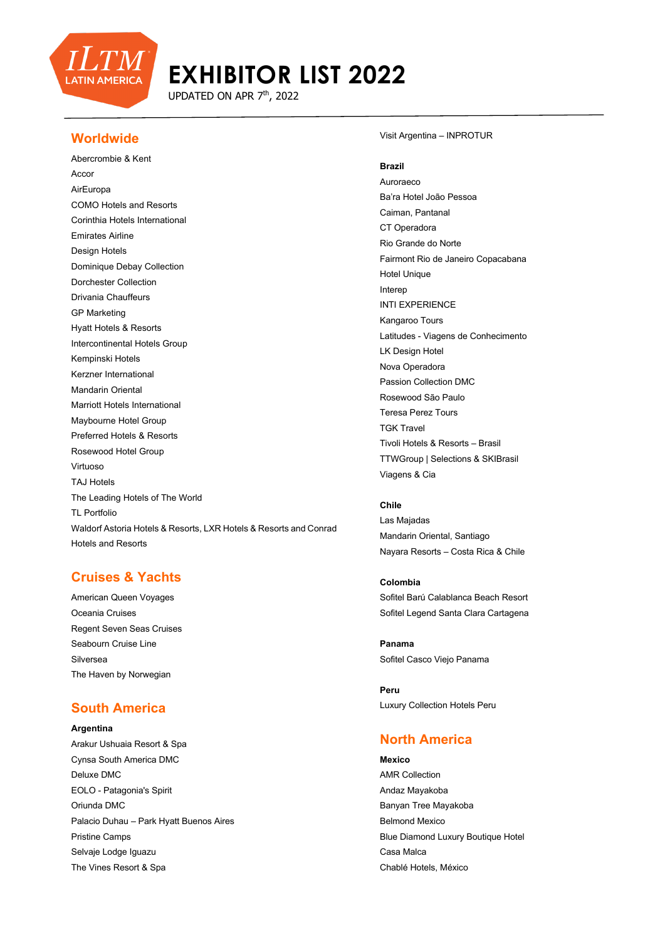

UPDATED ON APR 7<sup>th</sup>, 2022

### **Worldwide**

Abercrombie & Kent **Accor** AirEuropa COMO Hotels and Resorts Corinthia Hotels International Emirates Airline Design Hotels Dominique Debay Collection Dorchester Collection Drivania Chauffeurs GP Marketing Hyatt Hotels & Resorts Intercontinental Hotels Group Kempinski Hotels Kerzner International Mandarin Oriental Marriott Hotels International Maybourne Hotel Group Preferred Hotels & Resorts Rosewood Hotel Group Virtuoso TAJ Hotels The Leading Hotels of The World TL Portfolio Waldorf Astoria Hotels & Resorts, LXR Hotels & Resorts and Conrad Hotels and Resorts

## **Cruises & Yachts**

American Queen Voyages Oceania Cruises Regent Seven Seas Cruises Seabourn Cruise Line Silversea The Haven by Norwegian

## **South America**

#### **Argentina**

Arakur Ushuaia Resort & Spa Cynsa South America DMC Deluxe DMC EOLO - Patagonia's Spirit Oriunda DMC Palacio Duhau – Park Hyatt Buenos Aires Pristine Camps Selvaje Lodge Iguazu The Vines Resort & Spa

#### Visit Argentina – INPROTUR

#### **Brazil**

Auroraeco Ba'ra Hotel João Pessoa Caiman, Pantanal CT Operadora Rio Grande do Norte Fairmont Rio de Janeiro Copacabana Hotel Unique Interep INTI EXPERIENCE Kangaroo Tours Latitudes - Viagens de Conhecimento LK Design Hotel Nova Operadora Passion Collection DMC Rosewood São Paulo Teresa Perez Tours TGK Travel Tivoli Hotels & Resorts – Brasil TTWGroup | Selections & SKIBrasil Viagens & Cia

#### **Chile**

Las Majadas Mandarin Oriental, Santiago Nayara Resorts – Costa Rica & Chile

**Colombia** Sofitel Barú Calablanca Beach Resort Sofitel Legend Santa Clara Cartagena

**Panama** Sofitel Casco Viejo Panama

**Peru** Luxury Collection Hotels Peru

### **North America**

**Mexico** AMR Collection Andaz Mayakoba Banyan Tree Mayakoba Belmond Mexico Blue Diamond Luxury Boutique Hotel Casa Malca Chablé Hotels, México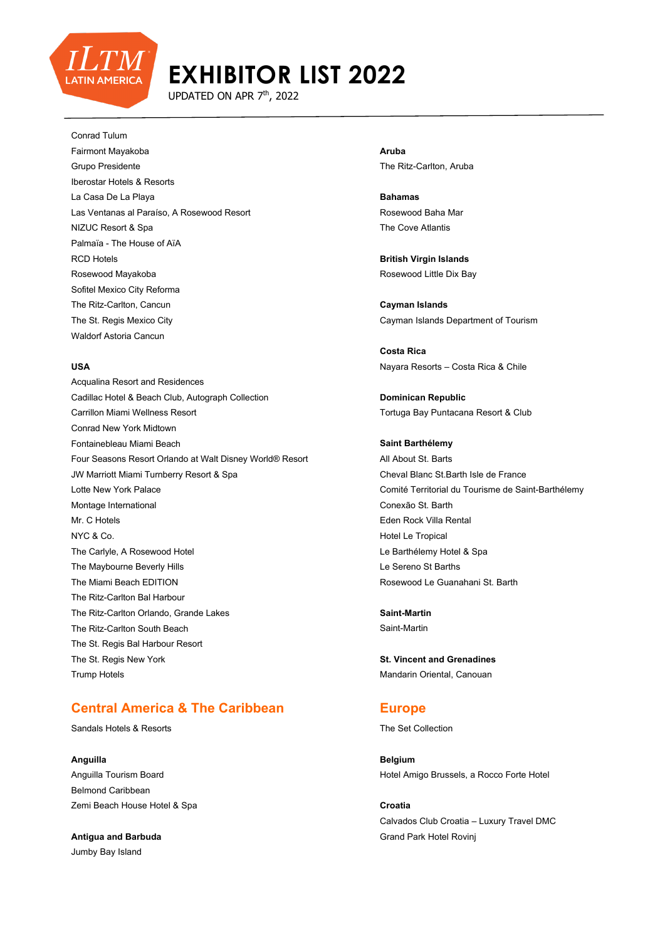

UPDATED ON APR 7<sup>th</sup>, 2022

Conrad Tulum

Fairmont Mayakoba Grupo Presidente Iberostar Hotels & Resorts La Casa De La Playa Las Ventanas al Paraíso, A Rosewood Resort NIZUC Resort & Spa Palmaïa - The House of AïA RCD Hotels Rosewood Mayakoba Sofitel Mexico City Reforma The Ritz-Carlton, Cancun The St. Regis Mexico City Waldorf Astoria Cancun

#### **USA**

Acqualina Resort and Residences Cadillac Hotel & Beach Club, Autograph Collection Carrillon Miami Wellness Resort Conrad New York Midtown Fontainebleau Miami Beach Four Seasons Resort Orlando at Walt Disney World® Resort JW Marriott Miami Turnberry Resort & Spa Lotte New York Palace Montage International Mr. C Hotels NYC & Co. The Carlyle, A Rosewood Hotel The Maybourne Beverly Hills The Miami Beach EDITION The Ritz-Carlton Bal Harbour The Ritz-Carlton Orlando, Grande Lakes The Ritz-Carlton South Beach The St. Regis Bal Harbour Resort The St. Regis New York Trump Hotels

## **Central America & The Caribbean**

Sandals Hotels & Resorts

#### **Anguilla**

Anguilla Tourism Board Belmond Caribbean Zemi Beach House Hotel & Spa

**Antigua and Barbuda** Jumby Bay Island

**Aruba** The Ritz-Carlton, Aruba

**Bahamas** Rosewood Baha Mar The Cove Atlantis

**British Virgin Islands** Rosewood Little Dix Bay

**Cayman Islands** Cayman Islands Department of Tourism

**Costa Rica** Nayara Resorts – Costa Rica & Chile

**Dominican Republic** Tortuga Bay Puntacana Resort & Club

**Saint Barthélemy** All About St. Barts Cheval Blanc St.Barth Isle de France Comité Territorial du Tourisme de Saint-Barthélemy Conexão St. Barth Eden Rock Villa Rental Hotel Le Tropical Le Barthélemy Hotel & Spa Le Sereno St Barths Rosewood Le Guanahani St. Barth

**Saint-Martin** Saint-Martin

**St. Vincent and Grenadines** Mandarin Oriental, Canouan

### **Europe**

The Set Collection

**Belgium** Hotel Amigo Brussels, a Rocco Forte Hotel

**Croatia** Calvados Club Croatia – Luxury Travel DMC Grand Park Hotel Rovinj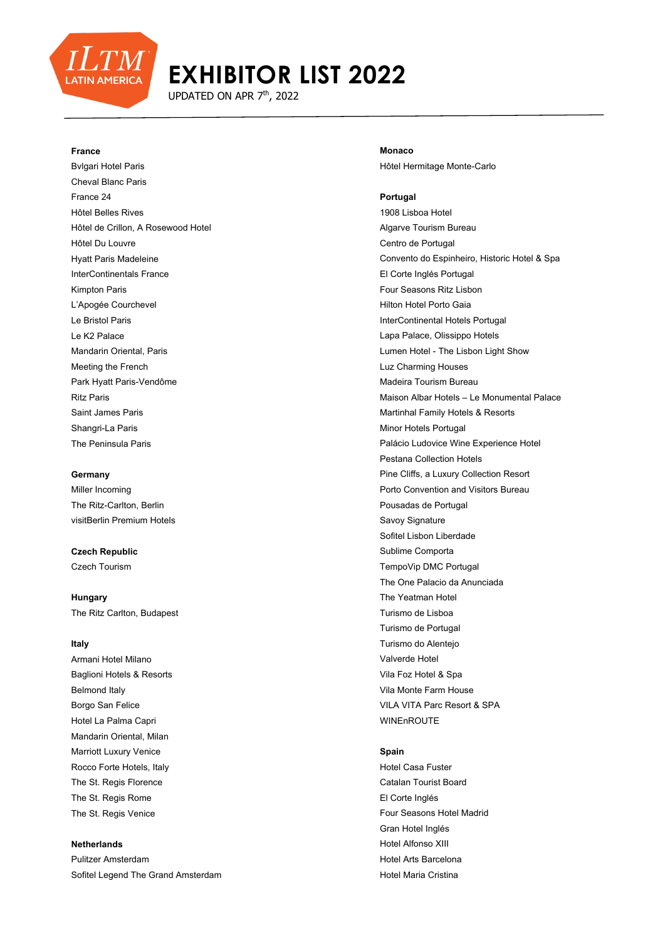

UPDATED ON APR 7<sup>th</sup>, 2022

#### **France**

Bvlgari Hotel Paris Cheval Blanc Paris France 24 Hôtel Belles Rives Hôtel de Crillon, A Rosewood Hotel Hôtel Du Louvre Hyatt Paris Madeleine InterContinentals France Kimpton Paris L'Apogée Courchevel Le Bristol Paris Le K2 Palace Mandarin Oriental, Paris Meeting the French Park Hyatt Paris-Vendôme Ritz Paris Saint James Paris Shangri-La Paris The Peninsula Paris

#### **Germany**

Miller Incoming The Ritz-Carlton, Berlin visitBerlin Premium Hotels

**Czech Republic** Czech Tourism

**Hungary** The Ritz Carlton, Budapest

#### **Italy**

Armani Hotel Milano Baglioni Hotels & Resorts Belmond Italy Borgo San Felice Hotel La Palma Capri Mandarin Oriental, Milan Marriott Luxury Venice Rocco Forte Hotels, Italy The St. Regis Florence The St. Regis Rome The St. Regis Venice

#### **Netherlands**

Pulitzer Amsterdam Sofitel Legend The Grand Amsterdam

**Monaco** Hôtel Hermitage Monte-Carlo

#### **Portugal**

1908 Lisboa Hotel Algarve Tourism Bureau Centro de Portugal Convento do Espinheiro, Historic Hotel & Spa El Corte Inglés Portugal Four Seasons Ritz Lisbon Hilton Hotel Porto Gaia InterContinental Hotels Portugal Lapa Palace, Olissippo Hotels Lumen Hotel - The Lisbon Light Show Luz Charming Houses Madeira Tourism Bureau Maison Albar Hotels – Le Monumental Palace Martinhal Family Hotels & Resorts Minor Hotels Portugal Palácio Ludovice Wine Experience Hotel Pestana Collection Hotels Pine Cliffs, a Luxury Collection Resort Porto Convention and Visitors Bureau Pousadas de Portugal Savoy Signature Sofitel Lisbon Liberdade Sublime Comporta TempoVip DMC Portugal The One Palacio da Anunciada The Yeatman Hotel Turismo de Lisboa Turismo de Portugal Turismo do Alentejo Valverde Hotel Vila Foz Hotel & Spa Vila Monte Farm House VILA VITA Parc Resort & SPA WINEnROUTE

#### **Spain**

Hotel Casa Fuster Catalan Tourist Board El Corte Inglés Four Seasons Hotel Madrid Gran Hotel Inglés Hotel Alfonso XIII Hotel Arts Barcelona Hotel Maria Cristina